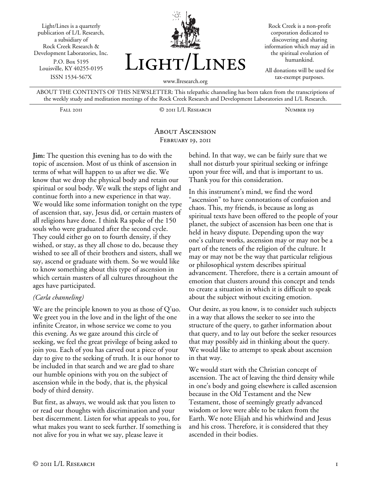Light/Lines is a quarterly publication of L/L Research, a subsidiary of Rock Creek Research & Development Laboratories, Inc. P.O. Box 5195 Louisville, KY 40255-0195 ISSN 1534-567X



Rock Creek is a non-profit corporation dedicated to discovering and sharing information which may aid in the spiritual evolution of humankind.

All donations will be used for tax-exempt purposes.

ABOUT THE CONTENTS OF THIS NEWSLETTER: This telepathic channeling has been taken from the transcriptions of the weekly study and meditation meetings of the Rock Creek Research and Development Laboratories and L/L Research.

Fall 2011 © 2011 L/L Research Number 119

## About Ascension FEBRUARY 19, 2011

**Jim:** The question this evening has to do with the topic of ascension. Most of us think of ascension in terms of what will happen to us after we die. We know that we drop the physical body and retain our spiritual or soul body. We walk the steps of light and continue forth into a new experience in that way. We would like some information tonight on the type of ascension that, say, Jesus did, or certain masters of all religions have done. I think Ra spoke of the 150 souls who were graduated after the second cycle. They could either go on to fourth density, if they wished, or stay, as they all chose to do, because they wished to see all of their brothers and sisters, shall we say, ascend or graduate with them. So we would like to know something about this type of ascension in which certain masters of all cultures throughout the ages have participated.

## *(Carla channeling)*

We are the principle known to you as those of Q'uo. We greet you in the love and in the light of the one infinite Creator, in whose service we come to you this evening. As we gaze around this circle of seeking, we feel the great privilege of being asked to join you. Each of you has carved out a piece of your day to give to the seeking of truth. It is our honor to be included in that search and we are glad to share our humble opinions with you on the subject of ascension while in the body, that is, the physical body of third density.

But first, as always, we would ask that you listen to or read our thoughts with discrimination and your best discernment. Listen for what appeals to you, for what makes you want to seek further. If something is not alive for you in what we say, please leave it

behind. In that way, we can be fairly sure that we shall not disturb your spiritual seeking or infringe upon your free will, and that is important to us. Thank you for this consideration.

In this instrument's mind, we find the word "ascension" to have connotations of confusion and chaos. This, my friends, is because as long as spiritual texts have been offered to the people of your planet, the subject of ascension has been one that is held in heavy dispute. Depending upon the way one's culture works, ascension may or may not be a part of the tenets of the religion of the culture. It may or may not be the way that particular religious or philosophical system describes spiritual advancement. Therefore, there is a certain amount of emotion that clusters around this concept and tends to create a situation in which it is difficult to speak about the subject without exciting emotion.

Our desire, as you know, is to consider such subjects in a way that allows the seeker to see into the structure of the query, to gather information about that query, and to lay out before the seeker resources that may possibly aid in thinking about the query. We would like to attempt to speak about ascension in that way.

We would start with the Christian concept of ascension. The act of leaving the third density while in one's body and going elsewhere is called ascension because in the Old Testament and the New Testament, those of seemingly greatly advanced wisdom or love were able to be taken from the Earth. We note Elijah and his whirlwind and Jesus and his cross. Therefore, it is considered that they ascended in their bodies.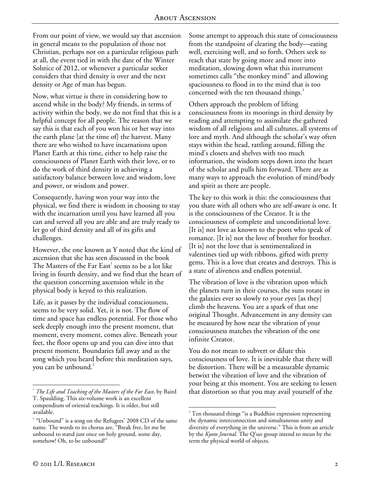From our point of view, we would say that ascension in general means to the population of those not Christian, perhaps not on a particular religious path at all, the event tied in with the date of the Winter Solstice of 2012, or whenever a particular seeker considers that third density is over and the next density or Age of man has begun.

Now, what virtue is there in considering how to ascend while in the body? My friends, in terms of activity within the body, we do not find that this is a helpful concept for all people. The reason that we say this is that each of you won his or her way into the earth plane [at the time of] the harvest. Many there are who wished to have incarnations upon Planet Earth at this time, either to help raise the consciousness of Planet Earth with their love, or to do the work of third density in achieving a satisfactory balance between love and wisdom, love and power, or wisdom and power.

Consequently, having won your way into the physical, we find there is wisdom in choosing to stay with the incarnation until you have learned all you can and served all you are able and are truly ready to let go of third density and all of its gifts and challenges.

However, the one known as Y noted that the kind of ascension that she has seen discussed in the book The Masters of the Far  $East<sup>1</sup>$  seems to be a lot like living in fourth density, and we find that the heart of the question concerning ascension while in the physical body is keyed to this realization.

Life, as it passes by the individual consciousness, seems to be very solid. Yet, it is not. The flow of time and space has endless potential. For those who seek deeply enough into the present moment, that moment, every moment, comes alive. Beneath your feet, the floor opens up and you can dive into that present moment. Boundaries fall away and as the song which you heard before this meditation says, you can be unbound.<sup>2</sup>

Some attempt to approach this state of consciousness from the standpoint of clearing the body—eating well, exercising well, and so forth. Others seek to reach that state by going more and more into meditation, slowing down what this instrument sometimes calls "the monkey mind" and allowing spaciousness to flood in to the mind that is too concerned with the ten thousand things.<sup>3</sup>

Others approach the problem of lifting consciousness from its moorings in third density by reading and attempting to assimilate the gathered wisdom of all religions and all cultures, all systems of lore and myth. And although the scholar's way often stays within the head, rattling around, filling the mind's closets and shelves with too much information, the wisdom seeps down into the heart of the scholar and pulls him forward. There are as many ways to approach the evolution of mind/body and spirit as there are people.

The key to this work is this: the consciousness that you share with all others who are self-aware is one. It is the consciousness of the Creator. It is the consciousness of complete and unconditional love. [It is] not love as known to the poets who speak of romance. [It is] not the love of brother for brother. [It is] not the love that is sentimentalized in valentines tied up with ribbons, gifted with pretty gems. This is a love that creates and destroys. This is a state of aliveness and endless potential.

The vibration of love is the vibration upon which the planets turn in their courses, the suns rotate in the galaxies ever so slowly to your eyes [as they] climb the heavens. You are a spark of that one original Thought. Advancement in any density can be measured by how near the vibration of your consciousness matches the vibration of the one infinite Creator.

You do not mean to subvert or dilute this consciousness of love. It is inevitable that there will be distortion. There will be a measurable dynamic betwixt the vibration of love and the vibration of your being at this moment. You are seeking to lessen that distortion so that you may avail yourself of the

 $\overline{a}$ 1 *The Life and Teaching of the Masters of the Far East*, by Baird T. Spaulding. This six-volume work is an excellent compendium of oriental teachings. It is older, but still available.

 $2^{\circ}$  "Unbound" is a song on the Refugees' 2008 CD of the same name. The words to its chorus are, "Break free, let me be unbound to stand just once on holy ground, some day, somehow! Oh, to be unbound!"

 $\overline{a}$ <sup>3</sup> Ten thousand things "is a Buddhist expression representing the dynamic interconnection and simultaneous unity and diversity of everything in the universe." This is from an article by the *Kyoto Journal*. The Q'uo group intend to mean by the term the physical world of objects.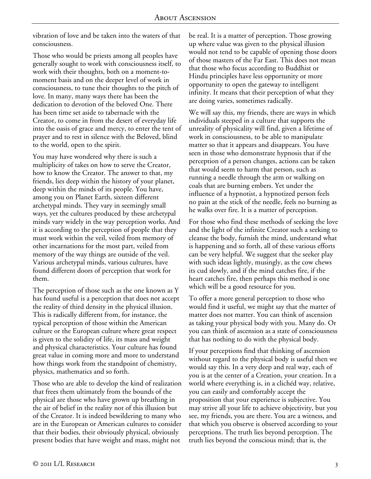vibration of love and be taken into the waters of that consciousness.

Those who would be priests among all peoples have generally sought to work with consciousness itself, to work with their thoughts, both on a moment-tomoment basis and on the deeper level of work in consciousness, to tune their thoughts to the pitch of love. In many, many ways there has been the dedication to devotion of the beloved One. There has been time set aside to tabernacle with the Creator, to come in from the desert of everyday life into the oasis of grace and mercy, to enter the tent of prayer and to rest in silence with the Beloved, blind to the world, open to the spirit.

You may have wondered why there is such a multiplicity of takes on how to serve the Creator, how to know the Creator. The answer to that, my friends, lies deep within the history of your planet, deep within the minds of its people. You have, among you on Planet Earth, sixteen different archetypal minds. They vary in seemingly small ways, yet the cultures produced by these archetypal minds vary widely in the way perception works. And it is according to the perception of people that they must work within the veil, veiled from memory of other incarnations for the most part, veiled from memory of the way things are outside of the veil. Various archetypal minds, various cultures, have found different doors of perception that work for them.

The perception of those such as the one known as Y has found useful is a perception that does not accept the reality of third density in the physical illusion. This is radically different from, for instance, the typical perception of those within the American culture or the European culture where great respect is given to the solidity of life, its mass and weight and physical characteristics. Your culture has found great value in coming more and more to understand how things work from the standpoint of chemistry, physics, mathematics and so forth.

Those who are able to develop the kind of realization that frees them ultimately from the bounds of the physical are those who have grown up breathing in the air of belief in the reality not of this illusion but of the Creator. It is indeed bewildering to many who are in the European or American cultures to consider that their bodies, their obviously physical, obviously present bodies that have weight and mass, might not

be real. It is a matter of perception. Those growing up where value was given to the physical illusion would not tend to be capable of opening those doors of those masters of the Far East. This does not mean that those who focus according to Buddhist or Hindu principles have less opportunity or more opportunity to open the gateway to intelligent infinity. It means that their perception of what they are doing varies, sometimes radically.

We will say this, my friends, there are ways in which individuals steeped in a culture that supports the unreality of physicality will find, given a lifetime of work in consciousness, to be able to manipulate matter so that it appears and disappears. You have seen in those who demonstrate hypnosis that if the perception of a person changes, actions can be taken that would seem to harm that person, such as running a needle through the arm or walking on coals that are burning embers. Yet under the influence of a hypnotist, a hypnotized person feels no pain at the stick of the needle, feels no burning as he walks over fire. It is a matter of perception.

For those who find these methods of seeking the love and the light of the infinite Creator such a seeking to cleanse the body, furnish the mind, understand what is happening and so forth, all of these various efforts can be very helpful. We suggest that the seeker play with such ideas lightly, musingly, as the cow chews its cud slowly, and if the mind catches fire, if the heart catches fire, then perhaps this method is one which will be a good resource for you.

To offer a more general perception to those who would find it useful, we might say that the matter of matter does not matter. You can think of ascension as taking your physical body with you. Many do. Or you can think of ascension as a state of consciousness that has nothing to do with the physical body.

If your perceptions find that thinking of ascension without regard to the physical body is useful then we would say this. In a very deep and real way, each of you is at the center of a Creation, your creation. In a world where everything is, in a clichéd way, relative, you can easily and comfortably accept the proposition that your experience is subjective. You may strive all your life to achieve objectivity, but you see, my friends, you are there. You are a witness, and that which you observe is observed according to your perceptions. The truth lies beyond perception. The truth lies beyond the conscious mind; that is, the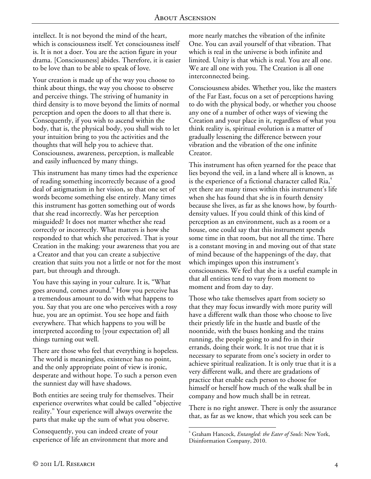intellect. It is not beyond the mind of the heart, which is consciousness itself. Yet consciousness itself is. It is not a doer. You are the action figure in your drama. [Consciousness] abides. Therefore, it is easier to be love than to be able to speak of love.

Your creation is made up of the way you choose to think about things, the way you choose to observe and perceive things. The striving of humanity in third density is to move beyond the limits of normal perception and open the doors to all that there is. Consequently, if you wish to ascend within the body, that is, the physical body, you shall wish to let your intuition bring to you the activities and the thoughts that will help you to achieve that. Consciousness, awareness, perception, is malleable and easily influenced by many things.

This instrument has many times had the experience of reading something incorrectly because of a good deal of astigmatism in her vision, so that one set of words become something else entirely. Many times this instrument has gotten something out of words that she read incorrectly. Was her perception misguided? It does not matter whether she read correctly or incorrectly. What matters is how she responded to that which she perceived. That is your Creation in the making: your awareness that you are a Creator and that you can create a subjective creation that suits you not a little or not for the most part, but through and through.

You have this saying in your culture. It is, "What goes around, comes around." How you perceive has a tremendous amount to do with what happens to you. Say that you are one who perceives with a rosy hue, you are an optimist. You see hope and faith everywhere. That which happens to you will be interpreted according to [your expectation of] all things turning out well.

There are those who feel that everything is hopeless. The world is meaningless, existence has no point, and the only appropriate point of view is ironic, desperate and without hope. To such a person even the sunniest day will have shadows.

Both entities are seeing truly for themselves. Their experience overwrites what could be called "objective reality." Your experience will always overwrite the parts that make up the sum of what you observe.

Consequently, you can indeed create of your experience of life an environment that more and

more nearly matches the vibration of the infinite One. You can avail yourself of that vibration. That which is real in the universe is both infinite and limited. Unity is that which is real. You are all one. We are all one with you. The Creation is all one interconnected being.

Consciousness abides. Whether you, like the masters of the Far East, focus on a set of perceptions having to do with the physical body, or whether you choose any one of a number of other ways of viewing the Creation and your place in it, regardless of what you think reality is, spiritual evolution is a matter of gradually lessening the difference between your vibration and the vibration of the one infinite Creator.

This instrument has often yearned for the peace that lies beyond the veil, in a land where all is known, as is the experience of a fictional character called  ${\rm Ria}^4$ , yet there are many times within this instrument's life when she has found that she is in fourth density because she lives, as far as she knows how, by fourthdensity values. If you could think of this kind of perception as an environment, such as a room or a house, one could say that this instrument spends some time in that room, but not all the time. There is a constant moving in and moving out of that state of mind because of the happenings of the day, that which impinges upon this instrument's consciousness. We feel that she is a useful example in that all entities tend to vary from moment to moment and from day to day.

Those who take themselves apart from society so that they may focus inwardly with more purity will have a different walk than those who choose to live their priestly life in the hustle and bustle of the noontide, with the buses honking and the trains running, the people going to and fro in their errands, doing their work. It is not true that it is necessary to separate from one's society in order to achieve spiritual realization. It is only true that it is a very different walk, and there are gradations of practice that enable each person to choose for himself or herself how much of the walk shall be in company and how much shall be in retreat.

There is no right answer. There is only the assurance that, as far as we know, that which you seek can be

 $\overline{a}$ 4 Graham Hancock, *Entangled: the Eater of Souls*: New York, Disinformation Company, 2010.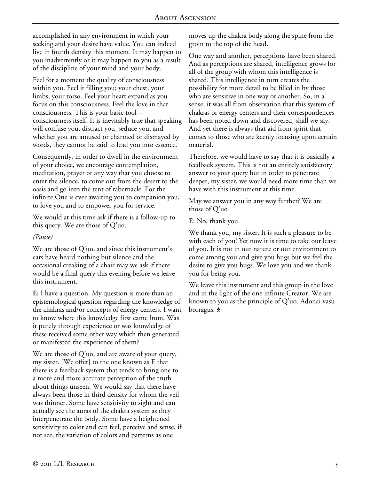accomplished in any environment in which your seeking and your desire have value. You can indeed live in fourth density this moment. It may happen to you inadvertently or it may happen to you as a result of the discipline of your mind and your body.

Feel for a moment the quality of consciousness within you. Feel it filling you; your chest, your limbs, your torso. Feel your heart expand as you focus on this consciousness. Feel the love in that consciousness. This is your basic tool consciousness itself. It is inevitably true that speaking will confuse you, distract you, seduce you, and whether you are amused or charmed or dismayed by words, they cannot be said to lead you into essence.

Consequently, in order to dwell in the environment of your choice, we encourage contemplation, meditation, prayer or any way that you choose to enter the silence, to come out from the desert to the oasis and go into the tent of tabernacle. For the infinite One is ever awaiting you to companion you, to love you and to empower you for service.

We would at this time ask if there is a follow-up to this query. We are those of Q'uo.

## *(Pause)*

We are those of Q'uo, and since this instrument's ears have heard nothing but silence and the occasional creaking of a chair may we ask if there would be a final query this evening before we leave this instrument.

**E:** I have a question. My question is more than an epistemological question regarding the knowledge of the chakras and/or concepts of energy centers. I want to know where this knowledge first came from. Was it purely through experience or was knowledge of these received some other way which then generated or manifested the experience of them?

We are those of Q'uo, and are aware of your query, my sister. [We offer] to the one known as E that there is a feedback system that tends to bring one to a more and more accurate perception of the truth about things unseen. We would say that there have always been those in third density for whom the veil was thinner. Some have sensitivity to sight and can actually see the auras of the chakra system as they interpenetrate the body. Some have a heightened sensitivity to color and can feel, perceive and sense, if not see, the variation of colors and patterns as one

moves up the chakra body along the spine from the groin to the top of the head.

One way and another, perceptions have been shared. And as perceptions are shared, intelligence grows for all of the group with whom this intelligence is shared. This intelligence in turn creates the possibility for more detail to be filled in by those who are sensitive in one way or another. So, in a sense, it was all from observation that this system of chakras or energy centers and their correspondences has been noted down and discovered, shall we say. And yet there is always that aid from spirit that comes to those who are keenly focusing upon certain material.

Therefore, we would have to say that it is basically a feedback system. This is not an entirely satisfactory answer to your query but in order to penetrate deeper, my sister, we would need more time than we have with this instrument at this time.

May we answer you in any way further? We are those of Q'uo

**E:** No, thank you.

We thank you, my sister. It is such a pleasure to be with each of you! Yet now it is time to take our leave of you. It is not in our nature or our environment to come among you and give you hugs but we feel the desire to give you hugs. We love you and we thank you for being you.

We leave this instrument and this group in the love and in the light of the one infinite Creator. We are known to you as the principle of Q'uo. Adonai vasu borragus.  $\dot{\mathbf{\hat{z}}}$